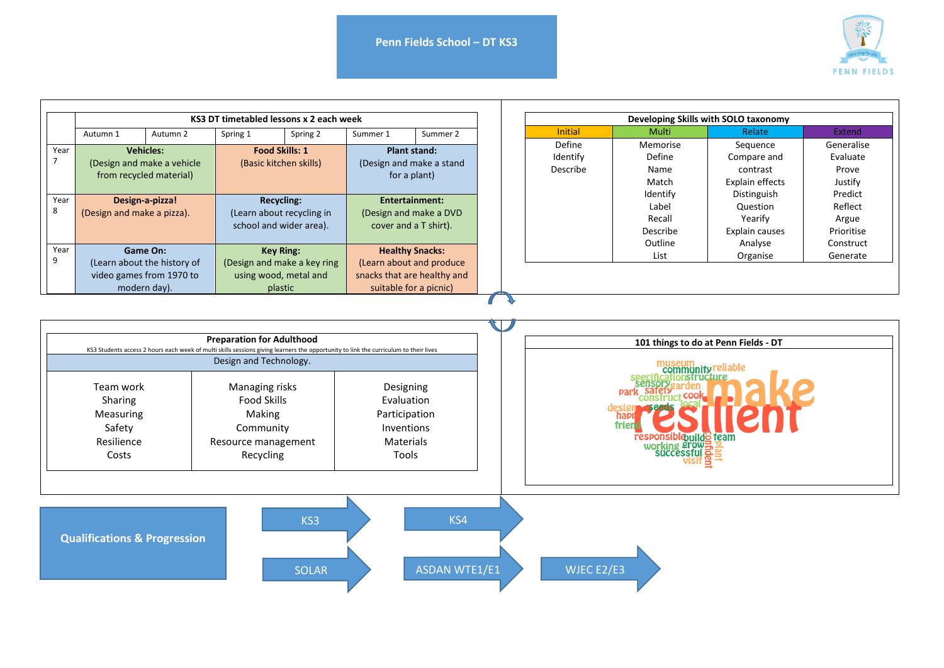

|      | KS3 DT timetabled lessons x 2 each week               |                             |                        |                             |                                                                 |          |  | Developing Skills with SOLO taxonomy |          |                 |            |  |
|------|-------------------------------------------------------|-----------------------------|------------------------|-----------------------------|-----------------------------------------------------------------|----------|--|--------------------------------------|----------|-----------------|------------|--|
|      | Autumn 1                                              | Autumn 2                    | Spring 1               | Spring 2                    | Summer 1                                                        | Summer 2 |  | <b>Initial</b>                       | Multi    | Relate          | Extend     |  |
| Year |                                                       | <b>Vehicles:</b>            |                        | <b>Food Skills: 1</b>       |                                                                 |          |  | Define                               | Memorise | Sequence        | Generalise |  |
|      | (Design and make a vehicle<br>from recycled material) |                             | (Basic kitchen skills) |                             | <b>Plant stand:</b><br>(Design and make a stand<br>for a plant) |          |  | Identify<br>Describe                 | Define   | Compare and     | Evaluate   |  |
|      |                                                       |                             |                        |                             |                                                                 |          |  |                                      | Name     | contrast        | Prove      |  |
|      |                                                       |                             |                        |                             |                                                                 |          |  |                                      | Match    | Explain effects | Justify    |  |
| Year |                                                       |                             |                        |                             |                                                                 |          |  |                                      | Identify | Distinguish     | Predict    |  |
|      | Design-a-pizza!                                       |                             | <b>Recycling:</b>      |                             | Entertainment:                                                  |          |  | Label                                | Question | Reflect         |            |  |
|      | (Design and make a pizza).                            |                             |                        | (Learn about recycling in   | (Design and make a DVD                                          |          |  |                                      | Recall   | Yearify         | Argue      |  |
|      |                                                       |                             |                        | school and wider area).     | cover and a T shirt).                                           |          |  |                                      | Describe | Explain causes  | Prioritise |  |
|      |                                                       |                             |                        |                             |                                                                 |          |  |                                      | Outline  | Analyse         | Construct  |  |
| Year |                                                       | Game On:                    |                        | <b>Key Ring:</b>            | <b>Healthy Snacks:</b>                                          |          |  |                                      | List     | Organise        | Generate   |  |
|      |                                                       | (Learn about the history of |                        | (Design and make a key ring | (Learn about and produce)                                       |          |  |                                      |          |                 |            |  |
|      |                                                       | video games from 1970 to    |                        | using wood, metal and       | snacks that are healthy and                                     |          |  |                                      |          |                 |            |  |
|      |                                                       | modern day).                |                        | plastic                     | suitable for a picnic)                                          |          |  |                                      |          |                 |            |  |